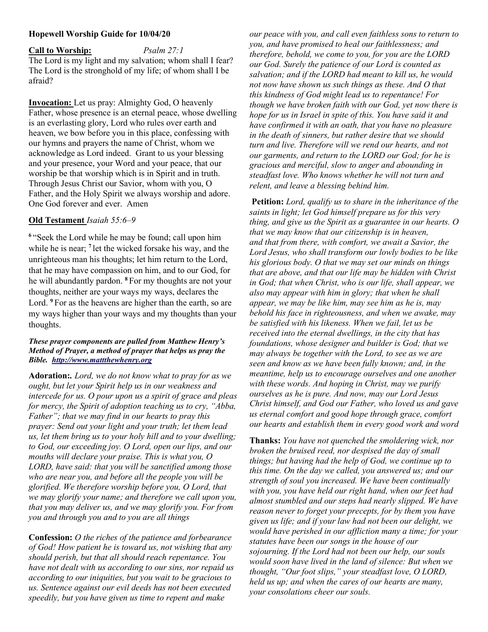## Hopewell Worship Guide for 10/04/20

Call to Worship: Psalm 27:1 The Lord is my light and my salvation; whom shall I fear? The Lord is the stronghold of my life; of whom shall I be afraid?

Invocation: Let us pray: Almighty God, O heavenly Father, whose presence is an eternal peace, whose dwelling is an everlasting glory, Lord who rules over earth and heaven, we bow before you in this place, confessing with our hymns and prayers the name of Christ, whom we acknowledge as Lord indeed. Grant to us your blessing and your presence, your Word and your peace, that our worship be that worship which is in Spirit and in truth. Through Jesus Christ our Savior, whom with you, O Father, and the Holy Spirit we always worship and adore. One God forever and ever. Amen

## Old Testament Isaiah 55:6–9

<sup>6</sup>"Seek the Lord while he may be found; call upon him while he is near; <sup>7</sup> let the wicked forsake his way, and the unrighteous man his thoughts; let him return to the Lord, that he may have compassion on him, and to our God, for he will abundantly pardon. <sup>8</sup> For my thoughts are not your thoughts, neither are your ways my ways, declares the Lord. <sup>9</sup> For as the heavens are higher than the earth, so are my ways higher than your ways and my thoughts than your thoughts.

#### These prayer components are pulled from Matthew Henry's Method of Prayer, a method of prayer that helps us pray the Bible. http://www.mattthewhenry.org

Adoration:. Lord, we do not know what to pray for as we ought, but let your Spirit help us in our weakness and intercede for us. O pour upon us a spirit of grace and pleas for mercy, the Spirit of adoption teaching us to cry, "Abba, Father"; that we may find in our hearts to pray this prayer: Send out your light and your truth; let them lead us, let them bring us to your holy hill and to your dwelling; to God, our exceeding joy. O Lord, open our lips, and our mouths will declare your praise. This is what you, O LORD, have said: that you will be sanctified among those who are near you, and before all the people you will be glorified. We therefore worship before you, O Lord, that we may glorify your name; and therefore we call upon you, that you may deliver us, and we may glorify you. For from you and through you and to you are all things

Confession: O the riches of the patience and forbearance of God! How patient he is toward us, not wishing that any should perish, but that all should reach repentance. You have not dealt with us according to our sins, nor repaid us according to our iniquities, but you wait to be gracious to us. Sentence against our evil deeds has not been executed speedily, but you have given us time to repent and make

our peace with you, and call even faithless sons to return to you, and have promised to heal our faithlessness; and therefore, behold, we come to you, for you are the LORD our God. Surely the patience of our Lord is counted as salvation; and if the LORD had meant to kill us, he would not now have shown us such things as these. And O that this kindness of God might lead us to repentance! For though we have broken faith with our God, yet now there is hope for us in Israel in spite of this. You have said it and have confirmed it with an oath, that you have no pleasure in the death of sinners, but rather desire that we should turn and live. Therefore will we rend our hearts, and not our garments, and return to the LORD our God; for he is gracious and merciful, slow to anger and abounding in steadfast love. Who knows whether he will not turn and relent, and leave a blessing behind him.

Petition: Lord, qualify us to share in the inheritance of the saints in light; let God himself prepare us for this very thing, and give us the Spirit as a guarantee in our hearts. O that we may know that our citizenship is in heaven, and that from there, with comfort, we await a Savior, the Lord Jesus, who shall transform our lowly bodies to be like his glorious body. O that we may set our minds on things that are above, and that our life may be hidden with Christ in God; that when Christ, who is our life, shall appear, we also may appear with him in glory; that when he shall appear, we may be like him, may see him as he is, may behold his face in righteousness, and when we awake, may be satisfied with his likeness. When we fail, let us be received into the eternal dwellings, in the city that has foundations, whose designer and builder is God; that we may always be together with the Lord, to see as we are seen and know as we have been fully known; and, in the meantime, help us to encourage ourselves and one another with these words. And hoping in Christ, may we purify ourselves as he is pure. And now, may our Lord Jesus Christ himself, and God our Father, who loved us and gave us eternal comfort and good hope through grace, comfort our hearts and establish them in every good work and word

Thanks: You have not quenched the smoldering wick, nor broken the bruised reed, nor despised the day of small things; but having had the help of God, we continue up to this time. On the day we called, you answered us; and our strength of soul you increased. We have been continually with you, you have held our right hand, when our feet had almost stumbled and our steps had nearly slipped. We have reason never to forget your precepts, for by them you have given us life; and if your law had not been our delight, we would have perished in our affliction many a time; for your statutes have been our songs in the house of our sojourning. If the Lord had not been our help, our souls would soon have lived in the land of silence: But when we thought, "Our foot slips," your steadfast love, O LORD, held us up; and when the cares of our hearts are many, your consolations cheer our souls.